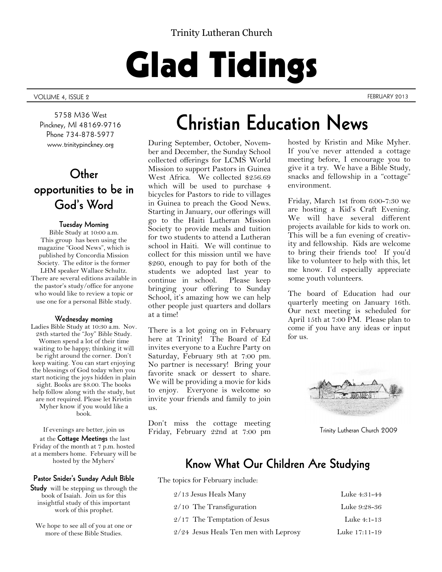### Trinity Lutheran Church

# Glad Tidings

VOLUME 4, ISSUE 2 FEBRUARY 2013

5758 M36 West Pinckney, MI 48169-9716 Phone 734-878-5977 www.trinitypinckney.org

## **Other opportunities to be in God's Word**

#### **Tuesday Morning**

Bible Study at 10:00 a.m. This group has been using the magazine "Good News", which is published by Concordia Mission Society. The editor is the former LHM speaker Wallace Schultz. There are several editions available in the pastor's study/office for anyone who would like to review a topic or use one for a personal Bible study.

#### **Wednesday morning**

Ladies Bible Study at 10:30 a.m. Nov. 28th started the "Joy" Bible Study. Women spend a lot of their time waiting to be happy; thinking it will be right around the corner. Don't keep waiting. You can start enjoying the blessings of God today when you start noticing the joys hidden in plain sight. Books are \$8.00. The books help follow along with the study, but are not required. Please let Kristin Myher know if you would like a book.

If evenings are better, join us

at the **Cottage Meetings** the last Friday of the month at 7 p.m. hosted at a members home. February will be hosted by the Myhers'

#### **Pastor Snider's Sunday Adult Bible**

**Study** will be stepping us through the book of Isaiah. Join us for this insightful study of this important work of this prophet.

We hope to see all of you at one or more of these Bible Studies.

## **Christian Education News**

During September, October, November and December, the Sunday School collected offerings for LCMS World Mission to support Pastors in Guinea West Africa. We collected \$256.69 which will be used to purchase 4 bicycles for Pastors to ride to villages in Guinea to preach the Good News. Starting in January, our offerings will go to the Haiti Lutheran Mission Society to provide meals and tuition for two students to attend a Lutheran school in Haiti. We will continue to collect for this mission until we have \$260, enough to pay for both of the students we adopted last year to continue in school. Please keep bringing your offering to Sunday School, it's amazing how we can help other people just quarters and dollars at a time!

There is a lot going on in February here at Trinity! The Board of Ed invites everyone to a Euchre Party on Saturday, February 9th at 7:00 pm. No partner is necessary! Bring your favorite snack or dessert to share. We will be providing a movie for kids to enjoy. Everyone is welcome so invite your friends and family to join us.

Don't miss the cottage meeting Friday, February 22nd at 7:00 pm

hosted by Kristin and Mike Myher. If you've never attended a cottage meeting before, I encourage you to give it a try. We have a Bible Study, snacks and fellowship in a "cottage" environment.

Friday, March 1st from 6:00-7:30 we are hosting a Kid's Craft Evening. We will have several different projects available for kids to work on. This will be a fun evening of creativity and fellowship. Kids are welcome to bring their friends too! If you'd like to volunteer to help with this, let me know. I'd especially appreciate some youth volunteers.

The board of Education had our quarterly meeting on January 16th. Our next meeting is scheduled for April 15th at 7:00 PM. Please plan to come if you have any ideas or input for us.



Trinity Lutheran Church 2009

### **Know What Our Children Are Studying**

The topics for February include:

| $2/13$ Jesus Heals Many               | Luke 4:31-44  |
|---------------------------------------|---------------|
| $2/10$ The Transfiguration            | Luke 9:28-36  |
| $2/17$ The Temptation of Jesus        | Luke 4:1-13   |
| 2/24 Jesus Heals Ten men with Leprosy | Luke 17:11-19 |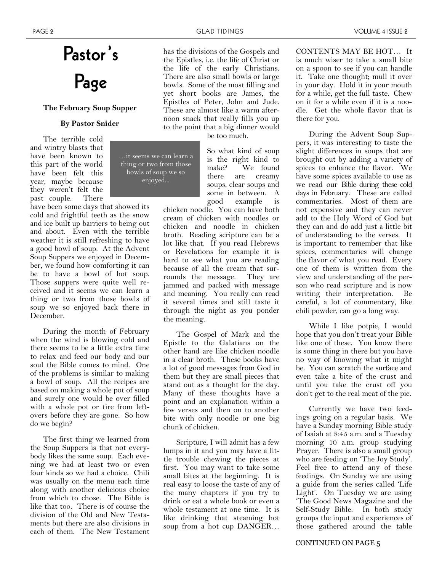## **Pastor's Page**

#### **The February Soup Supper**

#### **By Pastor Snider**

...it seems we can learn a thing or two from those bowls of soup we so enjoyed...

The terrible cold and wintry blasts that have been known to this part of the world have been felt this year, maybe because they weren't felt the past couple. There

have been some days that showed its cold and frightful teeth as the snow and ice built up barriers to being out and about. Even with the terrible weather it is still refreshing to have a good bowl of soup. At the Advent Soup Suppers we enjoyed in December, we found how comforting it can be to have a bowl of hot soup. Those suppers were quite well received and it seems we can learn a thing or two from those bowls of soup we so enjoyed back there in December.

During the month of February when the wind is blowing cold and there seems to be a little extra time to relax and feed our body and our soul the Bible comes to mind. One of the problems is similar to making a bowl of soup. All the recipes are based on making a whole pot of soup and surely one would be over filled with a whole pot or tire from leftovers before they are gone. So how do we begin?

The first thing we learned from the Soup Suppers is that not everybody likes the same soup. Each evening we had at least two or even four kinds so we had a choice. Chili was usually on the menu each time along with another delicious choice from which to chose. The Bible is like that too. There is of course the division of the Old and New Testaments but there are also divisions in each of them. The New Testament

has the divisions of the Gospels and the Epistles, i.e. the life of Christ or the life of the early Christians. There are also small bowls or large bowls. Some of the most filling and yet short books are James, the Epistles of Peter, John and Jude. These are almost like a warm afternoon snack that really fills you up to the point that a big dinner would

be too much.

So what kind of soup is the right kind to make? We found there are creamy soups, clear soups and some in between. A good example is

chicken noodle. You can have both cream of chicken with noodles or chicken and noodle in chicken broth. Reading scripture can be a lot like that. If you read Hebrews or Revelations for example it is hard to see what you are reading because of all the cream that surrounds the message. They are jammed and packed with message and meaning. You really can read it several times and still taste it through the night as you ponder the meaning.

The Gospel of Mark and the Epistle to the Galatians on the other hand are like chicken noodle in a clear broth. These books have a lot of good messages from God in them but they are small pieces that stand out as a thought for the day. Many of these thoughts have a point and an explanation within a few verses and then on to another bite with only noodle or one big chunk of chicken.

Scripture, I will admit has a few lumps in it and you may have a little trouble chewing the pieces at first. You may want to take some small bites at the beginning. It is real easy to loose the taste of any of the many chapters if you try to drink or eat a whole book or even a whole testament at one time. It is like drinking that steaming hot soup from a hot cup DANGER…

CONTENTS MAY BE HOT… It is much wiser to take a small bite on a spoon to see if you can handle it. Take one thought; mull it over in your day. Hold it in your mouth for a while, get the full taste. Chew on it for a while even if it is a noodle. Get the whole flavor that is there for you.

During the Advent Soup Suppers, it was interesting to taste the slight differences in soups that are brought out by adding a variety of spices to enhance the flavor. We have some spices available to use as we read our Bible during these cold days in February. These are called commentaries. Most of them are not expensive and they can never add to the Holy Word of God but they can and do add just a little bit of understanding to the verses. It is important to remember that like spices, commentaries will change the flavor of what you read. Every one of them is written from the view and understanding of the person who read scripture and is now writing their interpretation. Be careful, a lot of commentary, like chili powder, can go a long way.

While I like potpie, I would hope that you don't treat your Bible like one of these. You know there is some thing in there but you have no way of knowing what it might be. You can scratch the surface and even take a bite of the crust and until you take the crust off you don't get to the real meat of the pie.

Currently we have two feedings going on a regular basis. We have a Sunday morning Bible study of Isaiah at 8:45 a.m. and a Tuesday morning 10 a.m. group studying Prayer. There is also a small group who are feeding on 'The Joy Study'. Feel free to attend any of these feedings. On Sunday we are using a guide from the series called 'Life Light'. On Tuesday we are using 'The Good News Magazine and the Self-Study Bible. In both study groups the input and experiences of those gathered around the table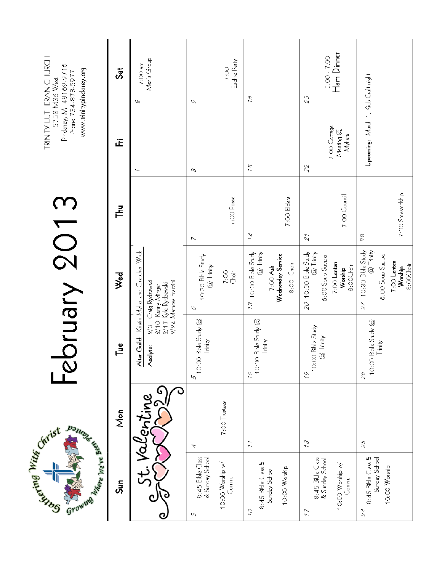TRINITY LUTHERAN CHURCH<br>5758 M36 West<br>Pindeney, MI 48169-9716<br>Phone 734-878-5977 www.trinitypinckney.org

| <b>Danunck Marie Base</b>                                                           |                          | <b>Solngly</b>                                             |                                                                                                                                                             |                                        |                                                | Pinckney, MI 48169-9716<br>www.trinitypinckney.org<br>Phone 734-878-5977 |
|-------------------------------------------------------------------------------------|--------------------------|------------------------------------------------------------|-------------------------------------------------------------------------------------------------------------------------------------------------------------|----------------------------------------|------------------------------------------------|--------------------------------------------------------------------------|
| Sun                                                                                 | Mon                      | ڰ٦                                                         | Wed                                                                                                                                                         | 립                                      | Œ                                              | $S_{\overline{a}}$                                                       |
|                                                                                     | Valentine                | ଁ<br>ହ/ତ                                                   | A <b>tar Guild:</b> Kristin Myher and Gretchen Wrck<br>A <b>colyte</b> : 2/3 Craig Rydzewski<br>2/24 Mathew Frazzini<br>2/17 Kyle Rydzewski<br>Kenny Minger |                                        |                                                | Men's Group<br>7:00 am<br>U                                              |
| 8:45 Bible Class<br>& Sunday School<br>10:00 Worship w/<br>Comm.<br>$\mathcal{O}_0$ | 7:00 Trustees<br>4       | 10:00 Bble Study @<br>Trinity<br>Ю                         | 10:30 Bble Study<br>@ Trinity<br>7:00<br>$\mathcal{O}$                                                                                                      | 7:00 Posse<br>$\overline{\phantom{a}}$ | 0                                              | Euchre Party<br>7:00<br>$\mathcal{O}'$                                   |
| 8:45 Bible Class &<br>Sunday School<br>10:00 Worship<br>$\mathcal{O}$               | $\tilde{L}$              | 12<br>  10:00 Bble Study @  <br>  10:00 Bble Study @       | 10:30 Bble Study<br>@ Trinity<br>Wednesday Service<br>8:00 Choir<br>$7:OO$ Ash<br>23                                                                        | 7:00 Elders<br>$\mathcal{I}$           | 75                                             | $\tilde{\mathcal{L}}'$                                                   |
| 8:45 Bible Class<br>& Sunday School<br>10:00 Worship w/<br>Comm.<br>$\tilde{L}$     | 18                       | 10:00 Bble Study<br>@ Trinity<br>79                        | 20 10:30 Bble Study<br>@ Trinity<br>6:00 Soup Supper<br>$7:OO$ Lenten<br>8:00Choir<br>Worship                                                               | 7:00 Council<br>$\mathcal{E}$          | 7:00 Cottage<br>$M$ ecting $@$<br>Myhers<br>22 | Ham Dinner<br>$5:00 - 7:00$<br>$\mathcal{E}\mathcal{S}$                  |
| 8:45 Bible Class &<br>Sunday School<br>10:00 Worship<br>$\mathcal{Z}$               | $\mathcal{F}\mathcal{S}$ | 10:00 Bible Study @<br>Trinity<br>$\mathcal{G}\mathcal{S}$ | 10:30 Bble Study<br>@ Trinity<br>6:00 Soup Supper<br>$7:OO$ Lenten<br>Worship<br>8:00Choir<br>$\overline{6}$                                                | 7:00 Stewardship<br>$\frac{8}{2}$      | Upcoming: March 1, Kids Craft right            |                                                                          |

February 2013

Civist Civist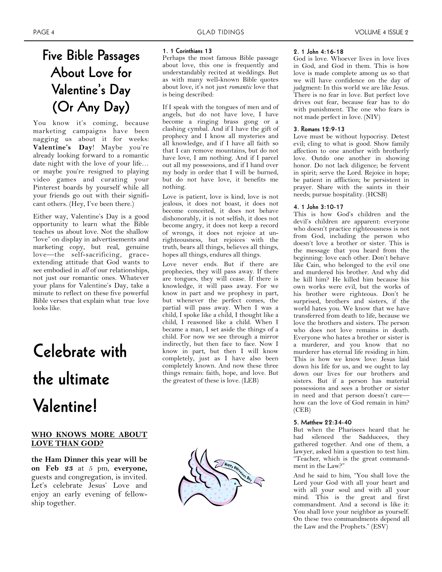Perhaps the most famous Bible passage about love, this one is frequently and understandably recited at weddings. But as with many well-known Bible quotes about love, it's not just *romantic* love that

If I speak with the tongues of men and of angels, but do not have love, I have become a ringing brass gong or a clashing cymbal. And if I have the gift of prophecy and I know all mysteries and all knowledge, and if I have all faith so that I can remove mountains, but do not have love, I am nothing. And if I parcel out all my possessions, and if I hand over my body in order that I will be burned, but do not have love, it benefits me

Love is patient, love is kind, love is not jealous, it does not boast, it does not become conceited, it does not behave dishonorably, it is not selfish, it does not become angry, it does not keep a record of wrongs, it does not rejoice at unrighteousness, but rejoices with the truth, bears all things, believes all things, hopes all things, endures all things. Love never ends. But if there are

**1. [1 Corinthians 13](http://www.biblegateway.com/passage/?search=1%20Corinthians%2013&version=LEB)**

is being described:

nothing.

## **Five Bible Passages About Love for Valentine's Day (Or Any Day)**

You know it's coming, because marketing campaigns have been nagging us about it for weeks: **Valentine's Day**! Maybe you're already looking forward to a romantic date night with the love of your life… or maybe you're resigned to playing video games and curating your Pinterest boards by yourself while all your friends go out with their significant others. (Hey, I've been there.)

Either way, Valentine's Day is a good opportunity to learn what the Bible teaches us about love. Not the shallow "love" on display in advertisements and marketing copy, but real, genuine love—the self-sacrificing, graceextending attitude that God wants to see embodied in *all* of our relationships, not just our romantic ones. Whatever your plans for Valentine's Day, take a minute to reflect on these five powerful Bible verses that explain what true love looks like.

## **Celebrate with the ultimate Valentine!**

#### **WHO KNOWS MORE ABOUT LOVE THAN GOD?**

**the Ham Dinner this year will be on Feb 23** at 5 pm, **everyone,**  guests and congregation, is invited. Let's celebrate Jesus' Love and enjoy an early evening of fellowship together.



but whenever the perfect comes, the partial will pass away. When I was a child, I spoke like a child, I thought like a child, I reasoned like a child. When I became a man, I set aside the things of a child. For now we see through a mirror indirectly, but then face to face. Now I know in part, but then I will know completely, just as I have also been completely known. And now these three things remain: faith, hope, and love. But the greatest of these is love. (LEB)



#### **2. [1 John 4:16-18](http://www.biblegateway.com/passage/?search=1%20John%204:16-18&version=NIV)**

God is love. Whoever lives in love lives in God, and God in them. This is how love is made complete among us so that we will have confidence on the day of judgment: In this world we are like Jesus. There is no fear in love. But perfect love drives out fear, because fear has to do with punishment. The one who fears is not made perfect in love. (NIV)

#### **3. [Romans 12:9-13](http://www.biblegateway.com/passage/?search=Romans%2012:9-13&version=HCSB)**

Love must be without hypocrisy. Detest evil; cling to what is good. Show family affection to one another with brotherly love. Outdo one another in showing honor. Do not lack diligence; be fervent in spirit; serve the Lord. Rejoice in hope; be patient in affliction; be persistent in prayer. Share with the saints in their needs; pursue hospitality. (HCSB)

#### **4. [1 John 3:10-17](http://www.biblegateway.com/passage/?search=1%20John+3:10-17&version=CEB)**

This is how God's children and the devil's children are apparent: everyone who doesn't practice righteousness is not from God, including the person who doesn't love a brother or sister. This is the message that you heard from the beginning: love each other. Don't behave like Cain, who belonged to the evil one and murdered his brother. And why did he kill him? He killed him because his own works were evil, but the works of his brother were righteous. Don't be surprised, brothers and sisters, if the world hates you. We know that we have transferred from death to life, because we love the brothers and sisters. The person who does not love remains in death. Everyone who hates a brother or sister is a murderer, and you know that no murderer has eternal life residing in him. This is how we know love: Jesus laid down his life for us, and we ought to lay down our lives for our brothers and sisters. But if a person has material possessions and sees a brother or sister in need and that person doesn't care how can the love of God remain in him? (CEB)

#### **5. [Matthew 22:34-40](http://www.biblegateway.com/passage/?search=Matthew%2022:34-40&version=ESV)**

But when the Pharisees heard that he had silenced the Sadducees, they gathered together. And one of them, a lawyer, asked him a question to test him. "Teacher, which is the great commandment in the Law?"

And he said to him, "You shall love the Lord your God with all your heart and with all your soul and with all your mind. This is the great and first commandment. And a second is like it: You shall love your neighbor as yourself. On these two commandments depend all the Law and the Prophets." (ESV)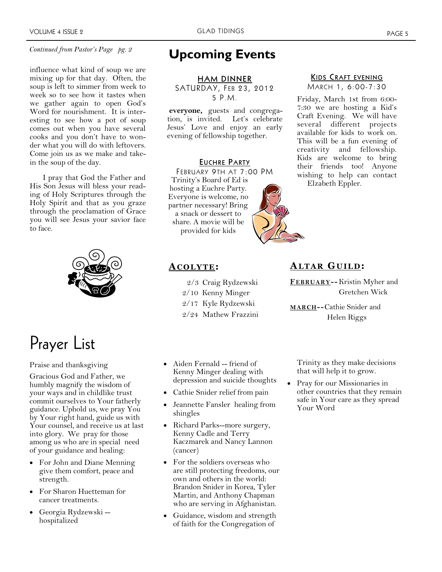#### *Continued from Pastor's Page pg. 2*

influence what kind of soup we are mixing up for that day. Often, the soup is left to simmer from week to week so to see how it tastes when we gather again to open God's Word for nourishment. It is interesting to see how a pot of soup comes out when you have several cooks and you don't have to wonder what you will do with leftovers. Come join us as we make and takein the soup of the day.

I pray that God the Father and His Son Jesus will bless your reading of Holy Scriptures through the Holy Spirit and that as you graze through the proclamation of Grace you will see Jesus your savior face to face.



## Prayer List

Praise and thanksgiving

Gracious God and Father, we humbly magnify the wisdom of your ways and in childlike trust commit ourselves to Your fatherly guidance. Uphold us, we pray You by Your right hand, guide us with Your counsel, and receive us at last into glory. We pray for those among us who are in special need of your guidance and healing:

- For John and Diane Menning give them comfort, peace and strength.
- For Sharon Huetteman for cancer treatments.
- Georgia Rydzewski hospitalized

### **Upcoming Events**

**HAM DINNER** SATURDAY, FEB 23, 2012 5 P.M.

**everyone,** guests and congregation, is invited. Let's celebrate Jesus' Love and enjoy an early evening of fellowship together.

#### **EUCHRE PARTY**

FEBRUARY 9TH AT 7:00 PM Trinity's Board of Ed is hosting a Euchre Party. Everyone is welcome, no partner necessary! Bring a snack or dessert to share. A movie will be provided for kids

### **KIDS CRAFT EVENING**

MARCH 1, 6:00-7:30

Friday, March 1st from 6:00- 7:30 we are hosting a Kid's Craft Evening. We will have several different projects available for kids to work on. This will be a fun evening of creativity and fellowship. Kids are welcome to bring their friends too! Anyone wishing to help can contact Elzabeth Eppler.



#### **AC O L Y T E:**

- 2/3 Craig Rydzewski
- 2/10 Kenny Minger
- 2/17 Kyle Rydzewski
- 2/24 Mathew Frazzini
- Aiden Fernald friend of Kenny Minger dealing with depression and suicide thoughts
- Cathie Snider relief from pain
- Jeannette Fansler healing from shingles
- Richard Parks--more surgery, Kenny Cadle and Terry Kaczmarek and Nancy Lannon (cancer)
- For the soldiers overseas who are still protecting freedoms, our own and others in the world: Brandon Snider in Korea, Tyler Martin, and Anthony Chapman who are serving in Afghanistan.
- Guidance, wisdom and strength of faith for the Congregation of

Helen Riggs

**MARCH--**Cathie Snider and

**FEBRUARY--** Kristin Myher and

Gretchen Wick

**AL T AR G U IL D:**

Trinity as they make decisions that will help it to grow.

 Pray for our Missionaries in other countries that they remain safe in Your care as they spread Your Word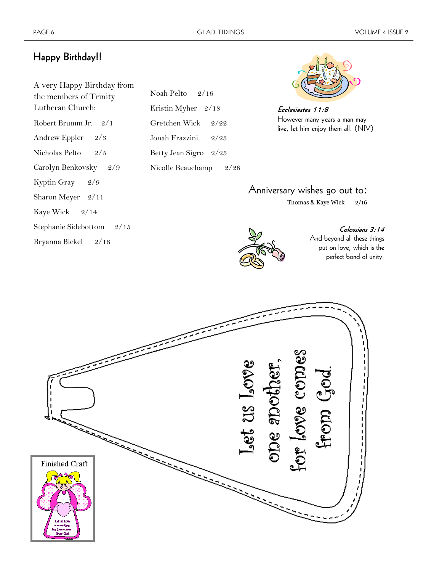### **Happy Birthday!!**

| A very Happy Birthday from |
|----------------------------|
| the members of Trinity     |
| Lutheran Church:           |
| Robert Brumm Jr. 2/1       |
| Andrew Eppler<br>2/3       |
| Nicholas Pelto $2/5$       |
| Carolyn Benkovsky 2/9      |
| Kyptin Gray 2/9            |
| Sharon Meyer 2/11          |
| Kaye Wick 2/14             |
| Stephanie Sidebottom 2/15  |
|                            |

Bryanna Bickel 2/16

Noah Pelto 2/16 Kristin Myher 2/18 Gretchen Wick 2/22 Jonah Frazzini 2/23 Betty Jean Sigro 2/25 Nicolle Beauchamp 2/28



**Ecclesiastes 11:8** However many years a man may live, let him enjoy them all. (NIV)

### Anniversary wishes go out to:

Thomas & Kaye Wick 2/16

**Colossians 3:14** 

And beyond all these things put on love, which is the perfect bond of unity.



 $I$ st  $23 \text{ Jyee}$  $\omega_{\rm e}$  (a)  $\omega_{\rm e}$ ocle SCIG Finished Craft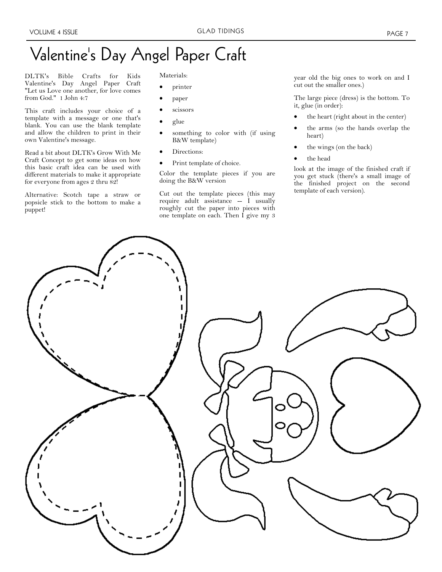#### VOLUME 4 ISSUE THE SERVICE OF STREET GRAD TIDINGS THE RESIDENCE OF PAGE 7

## Valentine's Day Angel Paper Craft

DLTK's Bible Crafts for Kids Valentine's Day Angel Paper Craft "Let us Love one another, for love comes from God." 1 John 4:7

This craft includes your choice of a template with a message or one that's blank. You can use the blank template and allow the children to print in their own Valentine's message.

Read a bit about DLTK's Grow With Me Craft Concept to get some ideas on how this basic craft idea can be used with different materials to make it appropriate for everyone from ages 2 thru 82!

Alternative: Scotch tape a straw or popsicle stick to the bottom to make a puppet!

Materials:

- printer
- paper
- scissors
- glue
- something to color with (if using B&W template)
- Directions:
- Print template of choice.

Color the template pieces if you are doing the B&W version

Cut out the template pieces (this may require adult assistance  $-$  I usually roughly cut the paper into pieces with one template on each. Then I give my 3 year old the big ones to work on and I cut out the smaller ones.)

The large piece (dress) is the bottom. To it, glue (in order):

- the heart (right about in the center)
- the arms (so the hands overlap the heart)
- the wings (on the back)
- the head

look at the image of the finished craft if you get stuck (there's a small image of the finished project on the second template of each version).